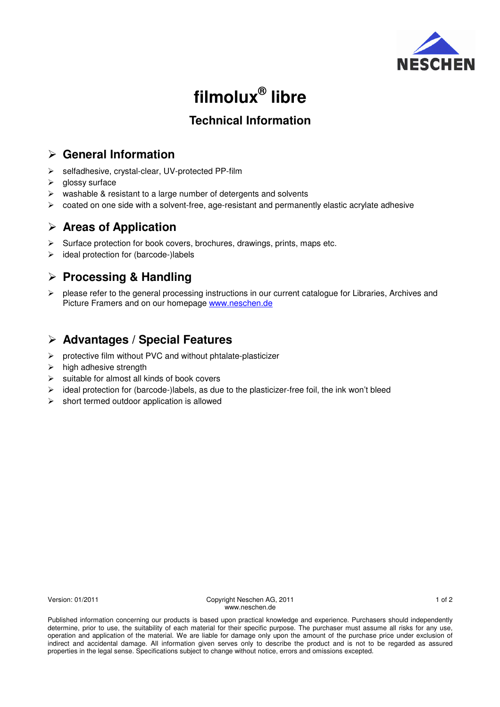

# **filmolux® libre**

# **Technical Information**

# **General Information**

- selfadhesive, crystal-clear, UV-protected PP-film
- $\triangleright$  alossy surface
- $\triangleright$  washable & resistant to a large number of detergents and solvents
- $\triangleright$  coated on one side with a solvent-free, age-resistant and permanently elastic acrylate adhesive

## **Areas of Application**

- $\triangleright$  Surface protection for book covers, brochures, drawings, prints, maps etc.
- $\triangleright$  ideal protection for (barcode-)labels

## **Processing & Handling**

 $\triangleright$  please refer to the general processing instructions in our current catalogue for Libraries, Archives and Picture Framers and on our homepage www.neschen.de

## **Advantages / Special Features**

- $\triangleright$  protective film without PVC and without phtalate-plasticizer
- $\triangleright$  high adhesive strength
- $\triangleright$  suitable for almost all kinds of book covers
- $\triangleright$  ideal protection for (barcode-)labels, as due to the plasticizer-free foil, the ink won't bleed
- $\triangleright$  short termed outdoor application is allowed

Version: 01/2011 Copyright Neschen AG, 2011 1 of 2 www.neschen.de

Published information concerning our products is based upon practical knowledge and experience. Purchasers should independently determine, prior to use, the suitability of each material for their specific purpose. The purchaser must assume all risks for any use, operation and application of the material. We are liable for damage only upon the amount of the purchase price under exclusion of indirect and accidental damage. All information given serves only to describe the product and is not to be regarded as assured properties in the legal sense. Specifications subject to change without notice, errors and omissions excepted.